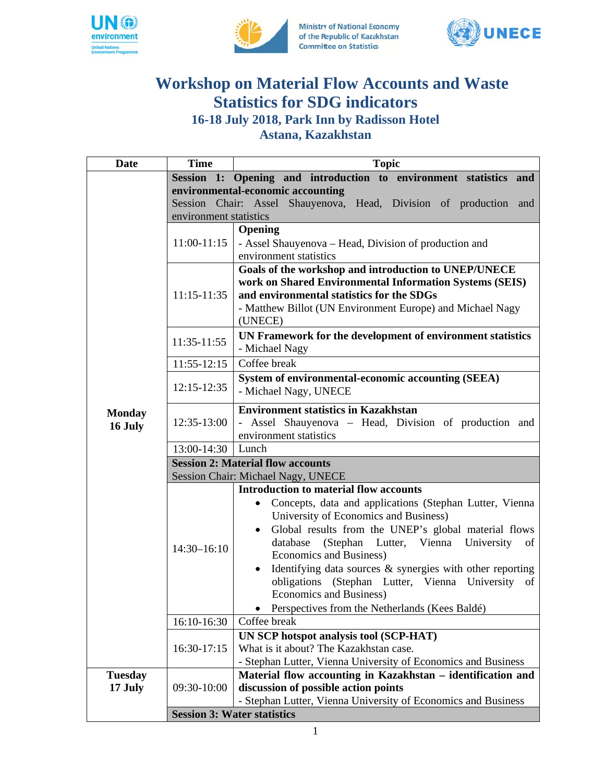





## **Workshop on Material Flow Accounts and Waste Statistics for SDG indicators** 16-18 July 2018, Park Inn by Radisson Hotel

Astana, Kazakhstan

| <b>Date</b>    | <b>Time</b>                                                       | <b>Topic</b>                                                         |  |
|----------------|-------------------------------------------------------------------|----------------------------------------------------------------------|--|
|                |                                                                   | Session 1: Opening and introduction to environment statistics and    |  |
|                | environmental-economic accounting                                 |                                                                      |  |
|                | Session Chair: Assel Shauyenova, Head, Division of production and |                                                                      |  |
|                | environment statistics                                            |                                                                      |  |
|                | $11:00-11:15$                                                     | Opening                                                              |  |
|                |                                                                   | - Assel Shauyenova – Head, Division of production and                |  |
|                |                                                                   | environment statistics                                               |  |
|                |                                                                   | Goals of the workshop and introduction to UNEP/UNECE                 |  |
|                | $11:15-11:35$                                                     | work on Shared Environmental Information Systems (SEIS)              |  |
|                |                                                                   | and environmental statistics for the SDGs                            |  |
|                |                                                                   | - Matthew Billot (UN Environment Europe) and Michael Nagy            |  |
|                |                                                                   | (UNECE)                                                              |  |
|                | 11:35-11:55                                                       | UN Framework for the development of environment statistics           |  |
|                |                                                                   | - Michael Nagy                                                       |  |
|                | $11:55-12:15$                                                     | Coffee break                                                         |  |
|                |                                                                   | <b>System of environmental-economic accounting (SEEA)</b>            |  |
|                | $12:15 - 12:35$                                                   | - Michael Nagy, UNECE                                                |  |
|                | 12:35-13:00                                                       | <b>Environment statistics in Kazakhstan</b>                          |  |
| <b>Monday</b>  |                                                                   | - Assel Shauyenova - Head, Division of production and                |  |
| 16 July        |                                                                   | environment statistics                                               |  |
|                | 13:00-14:30                                                       | Lunch                                                                |  |
|                | <b>Session 2: Material flow accounts</b>                          |                                                                      |  |
|                | Session Chair: Michael Nagy, UNECE                                |                                                                      |  |
|                |                                                                   | <b>Introduction to material flow accounts</b>                        |  |
|                |                                                                   | Concepts, data and applications (Stephan Lutter, Vienna<br>$\bullet$ |  |
|                |                                                                   | University of Economics and Business)                                |  |
|                | $14:30 - 16:10$                                                   | Global results from the UNEP's global material flows                 |  |
|                |                                                                   | (Stephan Lutter, Vienna University<br>database<br>of                 |  |
|                |                                                                   | Economics and Business)                                              |  |
|                |                                                                   | Identifying data sources & synergies with other reporting            |  |
|                |                                                                   | obligations (Stephan Lutter, Vienna University of                    |  |
|                |                                                                   | <b>Economics and Business)</b>                                       |  |
|                |                                                                   | Perspectives from the Netherlands (Kees Baldé)                       |  |
|                | 16:10-16:30                                                       | Coffee break                                                         |  |
|                | 16:30-17:15                                                       | UN SCP hotspot analysis tool (SCP-HAT)                               |  |
|                |                                                                   | What is it about? The Kazakhstan case.                               |  |
|                |                                                                   | - Stephan Lutter, Vienna University of Economics and Business        |  |
| <b>Tuesday</b> |                                                                   | Material flow accounting in Kazakhstan - identification and          |  |
| 17 July        | 09:30-10:00                                                       | discussion of possible action points                                 |  |
|                |                                                                   | - Stephan Lutter, Vienna University of Economics and Business        |  |
|                | <b>Session 3: Water statistics</b>                                |                                                                      |  |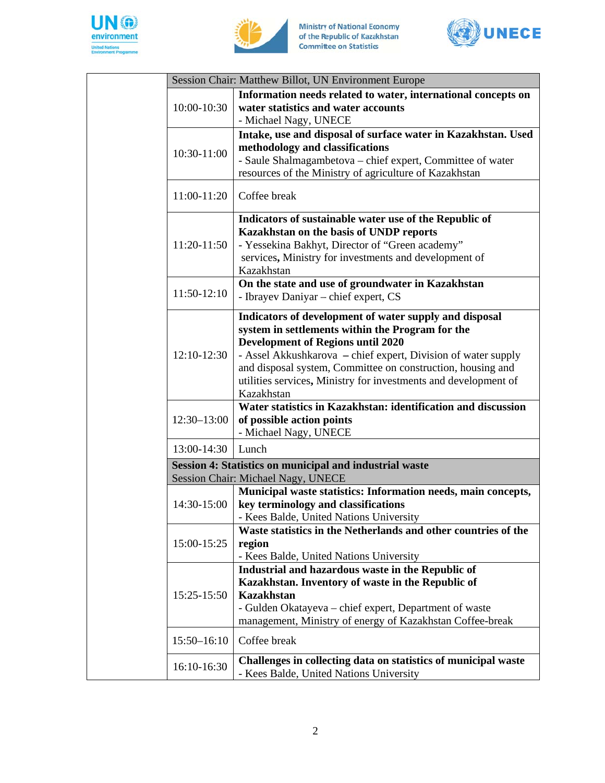





| Session Chair: Matthew Billot, UN Environment Europe                                          |                                                                                                                                                                                                                                                                                                                                                                         |  |  |
|-----------------------------------------------------------------------------------------------|-------------------------------------------------------------------------------------------------------------------------------------------------------------------------------------------------------------------------------------------------------------------------------------------------------------------------------------------------------------------------|--|--|
| 10:00-10:30                                                                                   | Information needs related to water, international concepts on<br>water statistics and water accounts<br>- Michael Nagy, UNECE                                                                                                                                                                                                                                           |  |  |
| 10:30-11:00                                                                                   | Intake, use and disposal of surface water in Kazakhstan. Used<br>methodology and classifications<br>- Saule Shalmagambetova - chief expert, Committee of water<br>resources of the Ministry of agriculture of Kazakhstan                                                                                                                                                |  |  |
| 11:00-11:20                                                                                   | Coffee break                                                                                                                                                                                                                                                                                                                                                            |  |  |
| 11:20-11:50                                                                                   | Indicators of sustainable water use of the Republic of<br>Kazakhstan on the basis of UNDP reports<br>- Yessekina Bakhyt, Director of "Green academy"<br>services, Ministry for investments and development of<br>Kazakhstan                                                                                                                                             |  |  |
| $11:50-12:10$                                                                                 | On the state and use of groundwater in Kazakhstan<br>- Ibrayev Daniyar - chief expert, CS                                                                                                                                                                                                                                                                               |  |  |
| $12:10-12:30$                                                                                 | Indicators of development of water supply and disposal<br>system in settlements within the Program for the<br><b>Development of Regions until 2020</b><br>- Assel Akkushkarova – chief expert, Division of water supply<br>and disposal system, Committee on construction, housing and<br>utilities services, Ministry for investments and development of<br>Kazakhstan |  |  |
| $12:30 - 13:00$                                                                               | Water statistics in Kazakhstan: identification and discussion<br>of possible action points<br>- Michael Nagy, UNECE                                                                                                                                                                                                                                                     |  |  |
| 13:00-14:30                                                                                   | Lunch                                                                                                                                                                                                                                                                                                                                                                   |  |  |
| Session 4: Statistics on municipal and industrial waste<br>Session Chair: Michael Nagy, UNECE |                                                                                                                                                                                                                                                                                                                                                                         |  |  |
| 14:30-15:00                                                                                   | Municipal waste statistics: Information needs, main concepts,<br>key terminology and classifications<br>- Kees Balde, United Nations University                                                                                                                                                                                                                         |  |  |
| 15:00-15:25                                                                                   | Waste statistics in the Netherlands and other countries of the<br>region<br>- Kees Balde, United Nations University                                                                                                                                                                                                                                                     |  |  |
| 15:25-15:50                                                                                   | Industrial and hazardous waste in the Republic of<br>Kazakhstan. Inventory of waste in the Republic of<br><b>Kazakhstan</b><br>- Gulden Okatayeva – chief expert, Department of waste<br>management, Ministry of energy of Kazakhstan Coffee-break                                                                                                                      |  |  |
| 15:50-16:10                                                                                   | Coffee break                                                                                                                                                                                                                                                                                                                                                            |  |  |
| 16:10-16:30                                                                                   | Challenges in collecting data on statistics of municipal waste<br>- Kees Balde, United Nations University                                                                                                                                                                                                                                                               |  |  |